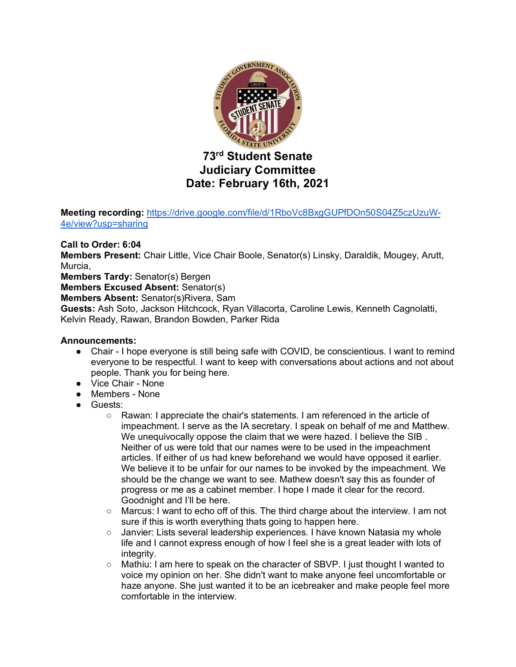

**Meeting recording:** https://drive.google.com/file/d/1RboVc8BxgGUPfDOn50S04Z5czUzuW-4e/view?usp=sharing

## **Call to Order: 6:04**

**Members Present:** Chair Little, Vice Chair Boole, Senator(s) Linsky, Daraldik, Mougey, Arutt, Murcia,

**Members Tardy:** Senator(s) Bergen

**Members Excused Absent:** Senator(s)

**Members Absent:** Senator(s)Rivera, Sam

**Guests:** Ash Soto, Jackson Hitchcock, Ryan Villacorta, Caroline Lewis, Kenneth Cagnolatti, Kelvin Ready, Rawan, Brandon Bowden, Parker Rida

#### **Announcements:**

- Chair I hope everyone is still being safe with COVID, be conscientious. I want to remind everyone to be respectful. I want to keep with conversations about actions and not about people. Thank you for being here.
- Vice Chair None
- Members None
- Guests:
	- Rawan: I appreciate the chair's statements. I am referenced in the article of impeachment. I serve as the IA secretary. I speak on behalf of me and Matthew. We unequivocally oppose the claim that we were hazed. I believe the SIB. Neither of us were told that our names were to be used in the impeachment articles. If either of us had knew beforehand we would have opposed it earlier. We believe it to be unfair for our names to be invoked by the impeachment. We should be the change we want to see. Mathew doesn't say this as founder of progress or me as a cabinet member. I hope I made it clear for the record. Goodnight and I'll be here.
	- Marcus: I want to echo off of this. The third charge about the interview. I am not sure if this is worth everything thats going to happen here.
	- Janvier: Lists several leadership experiences. I have known Natasia my whole life and I cannot express enough of how I feel she is a great leader with lots of integrity.
	- Mathiu: I am here to speak on the character of SBVP. I just thought I wanted to voice my opinion on her. She didn't want to make anyone feel uncomfortable or haze anyone. She just wanted it to be an icebreaker and make people feel more comfortable in the interview.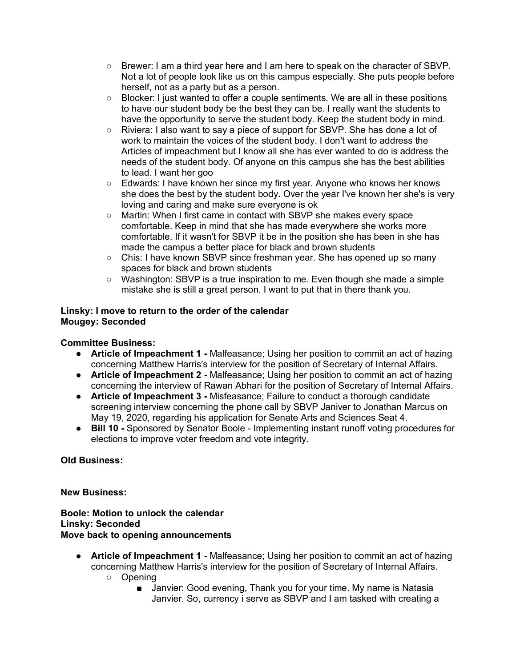- Brewer: I am a third year here and I am here to speak on the character of SBVP. Not a lot of people look like us on this campus especially. She puts people before herself, not as a party but as a person.
- Blocker: I just wanted to offer a couple sentiments. We are all in these positions to have our student body be the best they can be. I really want the students to have the opportunity to serve the student body. Keep the student body in mind.
- Riviera: I also want to say a piece of support for SBVP. She has done a lot of work to maintain the voices of the student body. I don't want to address the Articles of impeachment but I know all she has ever wanted to do is address the needs of the student body. Of anyone on this campus she has the best abilities to lead. I want her goo
- Edwards: I have known her since my first year. Anyone who knows her knows she does the best by the student body. Over the year I've known her she's is very loving and caring and make sure everyone is ok
- Martin: When I first came in contact with SBVP she makes every space comfortable. Keep in mind that she has made everywhere she works more comfortable. If it wasn't for SBVP it be in the position she has been in she has made the campus a better place for black and brown students
- Chis: I have known SBVP since freshman year. She has opened up so many spaces for black and brown students
- Washington: SBVP is a true inspiration to me. Even though she made a simple mistake she is still a great person. I want to put that in there thank you.

## **Linsky: I move to return to the order of the calendar Mougey: Seconded**

# **Committee Business:**

- **Article of Impeachment 1 -** Malfeasance; Using her position to commit an act of hazing concerning Matthew Harris's interview for the position of Secretary of Internal Affairs.
- **Article of Impeachment 2 -** Malfeasance; Using her position to commit an act of hazing concerning the interview of Rawan Abhari for the position of Secretary of Internal Affairs.
- **Article of Impeachment 3 -** Misfeasance; Failure to conduct a thorough candidate screening interview concerning the phone call by SBVP Janiver to Jonathan Marcus on May 19, 2020, regarding his application for Senate Arts and Sciences Seat 4.
- **Bill 10 -** Sponsored by Senator Boole Implementing instant runoff voting procedures for elections to improve voter freedom and vote integrity.

# **Old Business:**

# **New Business:**

**Boole: Motion to unlock the calendar Linsky: Seconded Move back to opening announcements**

- **Article of Impeachment 1 -** Malfeasance; Using her position to commit an act of hazing concerning Matthew Harris's interview for the position of Secretary of Internal Affairs.
	- Opening
		- Janvier: Good evening, Thank you for your time. My name is Natasia Janvier. So, currency i serve as SBVP and I am tasked with creating a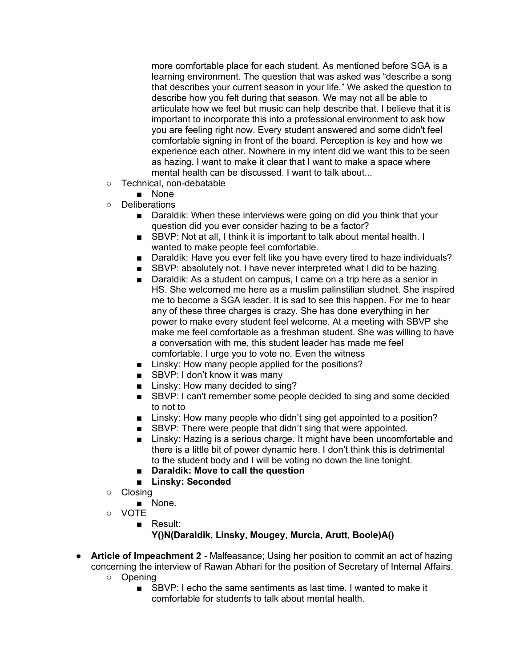more comfortable place for each student. As mentioned before SGA is a learning environment. The question that was asked was "describe a song that describes your current season in your life." We asked the question to describe how you felt during that season. We may not all be able to articulate how we feel but music can help describe that. I believe that it is important to incorporate this into a professional environment to ask how you are feeling right now. Every student answered and some didn't feel comfortable signing in front of the board. Perception is key and how we experience each other. Nowhere in my intent did we want this to be seen as hazing. I want to make it clear that I want to make a space where mental health can be discussed. I want to talk about...

- Technical, non-debatable
	- None
- Deliberations
	- Daraldik: When these interviews were going on did you think that your question did you ever consider hazing to be a factor?
	- SBVP: Not at all, I think it is important to talk about mental health. I wanted to make people feel comfortable.
	- Daraldik: Have you ever felt like you have every tired to haze individuals?
	- SBVP: absolutely not. I have never interpreted what I did to be hazing
	- Daraldik: As a student on campus, I came on a trip here as a senior in HS. She welcomed me here as a muslim palinstilian studnet. She inspired me to become a SGA leader. It is sad to see this happen. For me to hear any of these three charges is crazy. She has done everything in her power to make every student feel welcome. At a meeting with SBVP she make me feel comfortable as a freshman student. She was willing to have a conversation with me, this student leader has made me feel comfortable. I urge you to vote no. Even the witness
	- Linsky: How many people applied for the positions?
	- SBVP: I don't know it was many
	- Linsky: How many decided to sing?
	- SBVP: I can't remember some people decided to sing and some decided to not to
	- Linsky: How many people who didn't sing get appointed to a position?
	- SBVP: There were people that didn't sing that were appointed.
	- Linsky: Hazing is a serious charge. It might have been uncomfortable and there is a little bit of power dynamic here. I don't think this is detrimental to the student body and I will be voting no down the line tonight.
	- **Daraldik: Move to call the question**
	- **Linsky: Seconded**
- Closing
	- None.
- VOTE
	- Result:

# **Y()N(Daraldik, Linsky, Mougey, Murcia, Arutt, Boole)A()**

- **Article of Impeachment 2 -** Malfeasance; Using her position to commit an act of hazing concerning the interview of Rawan Abhari for the position of Secretary of Internal Affairs.
	- Opening
		- SBVP: I echo the same sentiments as last time. I wanted to make it comfortable for students to talk about mental health.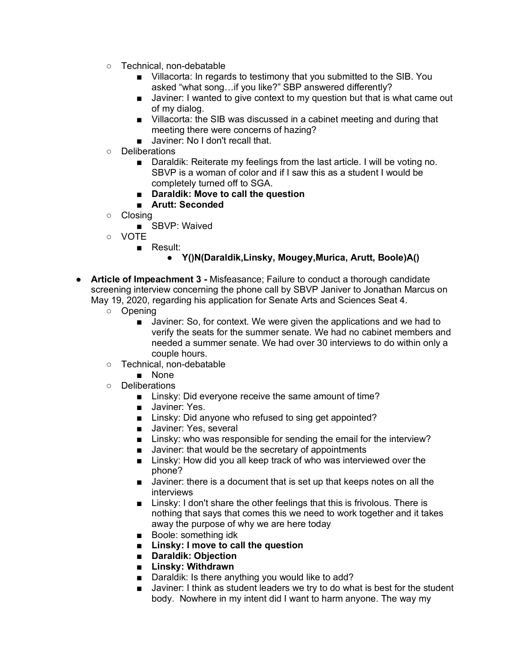- Technical, non-debatable
	- Villacorta: In regards to testimony that you submitted to the SIB. You asked "what song…if you like?" SBP answered differently?
	- Javiner: I wanted to give context to my question but that is what came out of my dialog.
	- Villacorta: the SIB was discussed in a cabinet meeting and during that meeting there were concerns of hazing?
	- Javiner: No I don't recall that.
- Deliberations
	- Daraldik: Reiterate my feelings from the last article. I will be voting no. SBVP is a woman of color and if I saw this as a student I would be completely turned off to SGA.
	- **Daraldik: Move to call the question**
	- **Arutt: Seconded**
- Closing
	- SBVP: Waived
- VOTE
	- Result:
		- **Y()N(Daraldik,Linsky, Mougey,Murica, Arutt, Boole)A()**
- **Article of Impeachment 3 -** Misfeasance; Failure to conduct a thorough candidate screening interview concerning the phone call by SBVP Janiver to Jonathan Marcus on May 19, 2020, regarding his application for Senate Arts and Sciences Seat 4.
	- Opening
		- Javiner: So, for context. We were given the applications and we had to verify the seats for the summer senate. We had no cabinet members and needed a summer senate. We had over 30 interviews to do within only a couple hours.
	- Technical, non-debatable
		- None
	- Deliberations
		- Linsky: Did everyone receive the same amount of time?
		- Javiner: Yes.
		- Linsky: Did anyone who refused to sing get appointed?
		- Javiner: Yes, several
		- Linsky: who was responsible for sending the email for the interview?
		- Javiner: that would be the secretary of appointments
		- Linsky: How did you all keep track of who was interviewed over the phone?
		- Javiner: there is a document that is set up that keeps notes on all the interviews
		- Linsky: I don't share the other feelings that this is frivolous. There is nothing that says that comes this we need to work together and it takes away the purpose of why we are here today
		- Boole: something idk
		- **Linsky: I move to call the question**
		- **Daraldik: Objection**
		- **Linsky: Withdrawn**
		- Daraldik: Is there anything you would like to add?
		- Javiner: I think as student leaders we try to do what is best for the student body. Nowhere in my intent did I want to harm anyone. The way my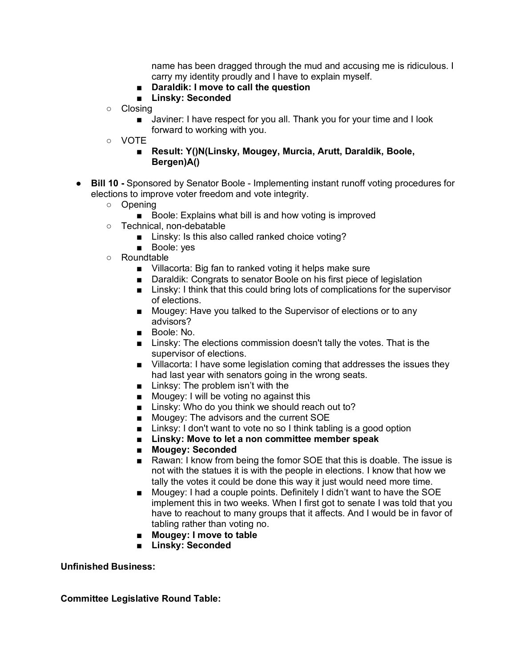name has been dragged through the mud and accusing me is ridiculous. I carry my identity proudly and I have to explain myself.

- **Daraldik: I move to call the question**
- **Linsky: Seconded**
- Closing
	- Javiner: I have respect for you all. Thank you for your time and I look forward to working with you.
- VOTE
	- **Result: Y()N(Linsky, Mougey, Murcia, Arutt, Daraldik, Boole, Bergen)A()**
- **Bill 10 -** Sponsored by Senator Boole Implementing instant runoff voting procedures for elections to improve voter freedom and vote integrity.
	- Opening
		- Boole: Explains what bill is and how voting is improved
	- Technical, non-debatable
		- Linsky: Is this also called ranked choice voting?
		- Boole: yes
	- Roundtable
		- Villacorta: Big fan to ranked voting it helps make sure
		- Daraldik: Congrats to senator Boole on his first piece of legislation
		- Linsky: I think that this could bring lots of complications for the supervisor of elections.
		- Mougey: Have you talked to the Supervisor of elections or to any advisors?
		- Boole: No.
		- Linsky: The elections commission doesn't tally the votes. That is the supervisor of elections.
		- Villacorta: I have some legislation coming that addresses the issues they had last year with senators going in the wrong seats.
		- Linksy: The problem isn't with the
		- Mougey: I will be voting no against this
		- Linsky: Who do you think we should reach out to?
		- Mougey: The advisors and the current SOE
		- Linksy: I don't want to vote no so I think tabling is a good option
		- **Linsky: Move to let a non committee member speak**
		- **Mougey: Seconded**
		- Rawan: I know from being the fomor SOE that this is doable. The issue is not with the statues it is with the people in elections. I know that how we tally the votes it could be done this way it just would need more time.
		- Mougey: I had a couple points. Definitely I didn't want to have the SOE implement this in two weeks. When I first got to senate I was told that you have to reachout to many groups that it affects. And I would be in favor of tabling rather than voting no.
		- **Mougey: I move to table**
		- **Linsky: Seconded**

#### **Unfinished Business:**

**Committee Legislative Round Table:**